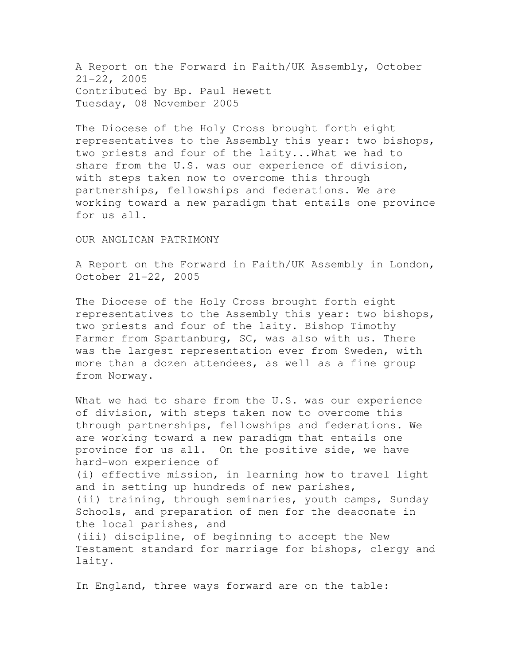A Report on the Forward in Faith/UK Assembly, October 21-22, 2005 Contributed by Bp. Paul Hewett Tuesday, 08 November 2005

The Diocese of the Holy Cross brought forth eight representatives to the Assembly this year: two bishops, two priests and four of the laity...What we had to share from the U.S. was our experience of division, with steps taken now to overcome this through partnerships, fellowships and federations. We are working toward a new paradigm that entails one province for us all.

## OUR ANGLICAN PATRIMONY

A Report on the Forward in Faith/UK Assembly in London, October 21-22, 2005

The Diocese of the Holy Cross brought forth eight representatives to the Assembly this year: two bishops, two priests and four of the laity. Bishop Timothy Farmer from Spartanburg, SC, was also with us. There was the largest representation ever from Sweden, with more than a dozen attendees, as well as a fine group from Norway.

What we had to share from the U.S. was our experience of division, with steps taken now to overcome this through partnerships, fellowships and federations. We are working toward a new paradigm that entails one province for us all. On the positive side, we have hard-won experience of (i) effective mission, in learning how to travel light and in setting up hundreds of new parishes, (ii) training, through seminaries, youth camps, Sunday Schools, and preparation of men for the deaconate in the local parishes, and (iii) discipline, of beginning to accept the New Testament standard for marriage for bishops, clergy and laity.

In England, three ways forward are on the table: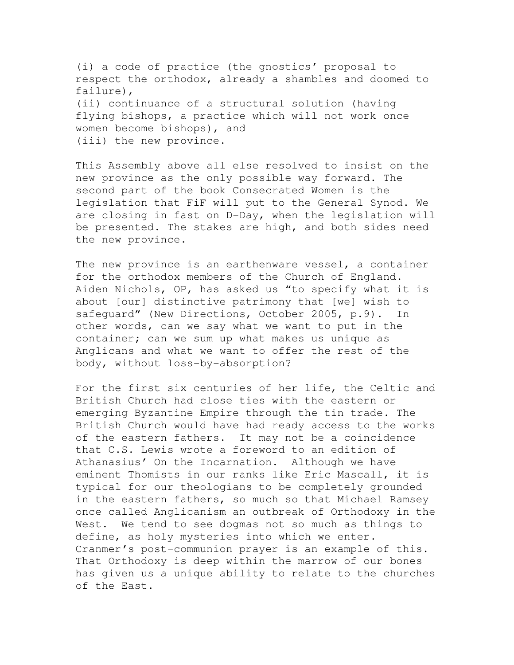(i) a code of practice (the gnostics' proposal to respect the orthodox, already a shambles and doomed to failure), (ii) continuance of a structural solution (having flying bishops, a practice which will not work once women become bishops), and (iii) the new province.

This Assembly above all else resolved to insist on the new province as the only possible way forward. The second part of the book Consecrated Women is the legislation that FiF will put to the General Synod. We are closing in fast on D-Day, when the legislation will be presented. The stakes are high, and both sides need the new province.

The new province is an earthenware vessel, a container for the orthodox members of the Church of England. Aiden Nichols, OP, has asked us "to specify what it is about [our] distinctive patrimony that [we] wish to safeguard" (New Directions, October 2005, p.9). In other words, can we say what we want to put in the container; can we sum up what makes us unique as Anglicans and what we want to offer the rest of the body, without loss-by-absorption?

For the first six centuries of her life, the Celtic and British Church had close ties with the eastern or emerging Byzantine Empire through the tin trade. The British Church would have had ready access to the works of the eastern fathers. It may not be a coincidence that C.S. Lewis wrote a foreword to an edition of Athanasius' On the Incarnation. Although we have eminent Thomists in our ranks like Eric Mascall, it is typical for our theologians to be completely grounded in the eastern fathers, so much so that Michael Ramsey once called Anglicanism an outbreak of Orthodoxy in the West. We tend to see dogmas not so much as things to define, as holy mysteries into which we enter. Cranmer's post-communion prayer is an example of this. That Orthodoxy is deep within the marrow of our bones has given us a unique ability to relate to the churches of the East.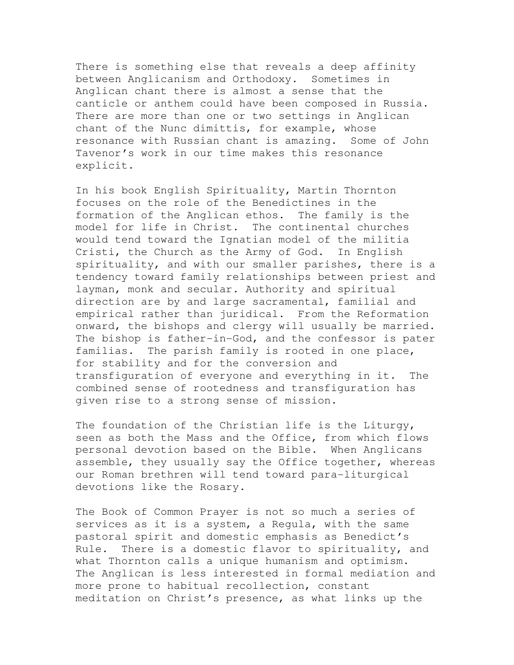There is something else that reveals a deep affinity between Anglicanism and Orthodoxy. Sometimes in Anglican chant there is almost a sense that the canticle or anthem could have been composed in Russia. There are more than one or two settings in Anglican chant of the Nunc dimittis, for example, whose resonance with Russian chant is amazing. Some of John Tavenor's work in our time makes this resonance explicit.

In his book English Spirituality, Martin Thornton focuses on the role of the Benedictines in the formation of the Anglican ethos. The family is the model for life in Christ. The continental churches would tend toward the Ignatian model of the militia Cristi, the Church as the Army of God. In English spirituality, and with our smaller parishes, there is a tendency toward family relationships between priest and layman, monk and secular. Authority and spiritual direction are by and large sacramental, familial and empirical rather than juridical. From the Reformation onward, the bishops and clergy will usually be married. The bishop is father-in-God, and the confessor is pater familias. The parish family is rooted in one place, for stability and for the conversion and transfiguration of everyone and everything in it. The combined sense of rootedness and transfiguration has given rise to a strong sense of mission.

The foundation of the Christian life is the Liturgy, seen as both the Mass and the Office, from which flows personal devotion based on the Bible. When Anglicans assemble, they usually say the Office together, whereas our Roman brethren will tend toward para-liturgical devotions like the Rosary.

The Book of Common Prayer is not so much a series of services as it is a system, a Requla, with the same pastoral spirit and domestic emphasis as Benedict's Rule. There is a domestic flavor to spirituality, and what Thornton calls a unique humanism and optimism. The Anglican is less interested in formal mediation and more prone to habitual recollection, constant meditation on Christ's presence, as what links up the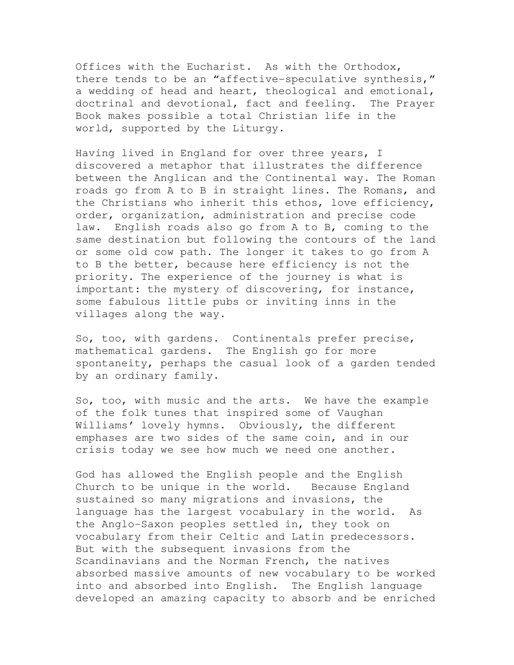Offices with the Eucharist. As with the Orthodox, there tends to be an "affective-speculative synthesis," a wedding of head and heart, theological and emotional, doctrinal and devotional, fact and feeling. The Prayer Book makes possible a total Christian life in the world, supported by the Liturgy.

Having lived in England for over three years, I discovered a metaphor that illustrates the difference between the Anglican and the Continental way. The Roman roads go from A to B in straight lines. The Romans, and the Christians who inherit this ethos, love efficiency, order, organization, administration and precise code law. English roads also go from A to B, coming to the same destination but following the contours of the land or some old cow path. The longer it takes to go from A to B the better, because here efficiency is not the priority. The experience of the journey is what is important: the mystery of discovering, for instance, some fabulous little pubs or inviting inns in the villages along the way.

So, too, with gardens. Continentals prefer precise, mathematical gardens. The English go for more spontaneity, perhaps the casual look of a garden tended by an ordinary family.

So, too, with music and the arts. We have the example of the folk tunes that inspired some of Vaughan Williams' lovely hymns. Obviously, the different emphases are two sides of the same coin, and in our crisis today we see how much we need one another.

God has allowed the English people and the English Church to be unique in the world. Because England sustained so many migrations and invasions, the language has the largest vocabulary in the world. As the Anglo-Saxon peoples settled in, they took on vocabulary from their Celtic and Latin predecessors. But with the subsequent invasions from the Scandinavians and the Norman French, the natives absorbed massive amounts of new vocabulary to be worked into and absorbed into English. The English language developed an amazing capacity to absorb and be enriched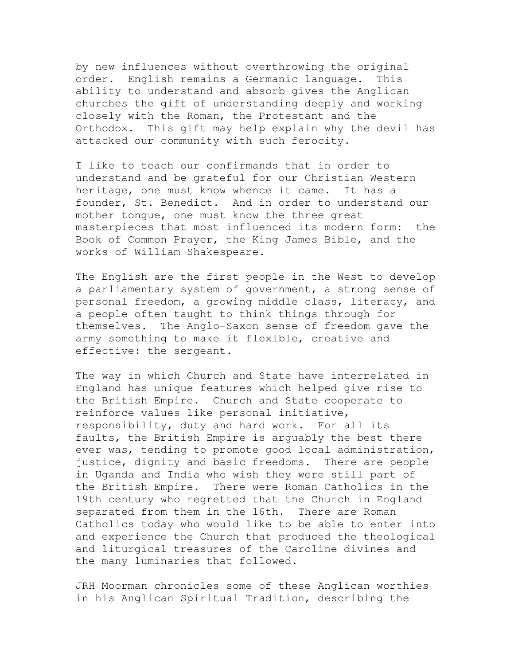by new influences without overthrowing the original order. English remains a Germanic language. This ability to understand and absorb gives the Anglican churches the gift of understanding deeply and working closely with the Roman, the Protestant and the Orthodox. This gift may help explain why the devil has attacked our community with such ferocity.

I like to teach our confirmands that in order to understand and be grateful for our Christian Western heritage, one must know whence it came. It has a founder, St. Benedict. And in order to understand our mother tongue, one must know the three great masterpieces that most influenced its modern form: the Book of Common Prayer, the King James Bible, and the works of William Shakespeare.

The English are the first people in the West to develop a parliamentary system of government, a strong sense of personal freedom, a growing middle class, literacy, and a people often taught to think things through for themselves. The Anglo-Saxon sense of freedom gave the army something to make it flexible, creative and effective: the sergeant.

The way in which Church and State have interrelated in England has unique features which helped give rise to the British Empire. Church and State cooperate to reinforce values like personal initiative, responsibility, duty and hard work. For all its faults, the British Empire is arguably the best there ever was, tending to promote good local administration, justice, dignity and basic freedoms. There are people in Uganda and India who wish they were still part of the British Empire. There were Roman Catholics in the 19th century who regretted that the Church in England separated from them in the 16th. There are Roman Catholics today who would like to be able to enter into and experience the Church that produced the theological and liturgical treasures of the Caroline divines and the many luminaries that followed.

JRH Moorman chronicles some of these Anglican worthies in his Anglican Spiritual Tradition, describing the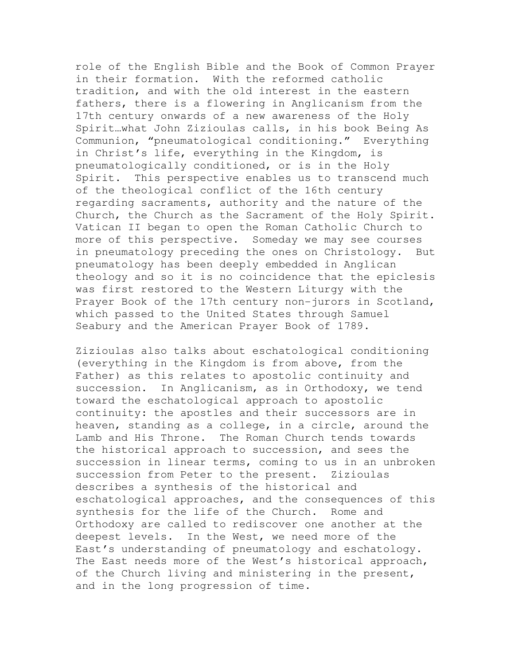role of the English Bible and the Book of Common Prayer in their formation. With the reformed catholic tradition, and with the old interest in the eastern fathers, there is a flowering in Anglicanism from the 17th century onwards of a new awareness of the Holy Spirit…what John Zizioulas calls, in his book Being As Communion, "pneumatological conditioning." Everything in Christ's life, everything in the Kingdom, is pneumatologically conditioned, or is in the Holy Spirit. This perspective enables us to transcend much of the theological conflict of the 16th century regarding sacraments, authority and the nature of the Church, the Church as the Sacrament of the Holy Spirit. Vatican II began to open the Roman Catholic Church to more of this perspective. Someday we may see courses in pneumatology preceding the ones on Christology. But pneumatology has been deeply embedded in Anglican theology and so it is no coincidence that the epiclesis was first restored to the Western Liturgy with the Prayer Book of the 17th century non-jurors in Scotland, which passed to the United States through Samuel Seabury and the American Prayer Book of 1789.

Zizioulas also talks about eschatological conditioning (everything in the Kingdom is from above, from the Father) as this relates to apostolic continuity and succession. In Anglicanism, as in Orthodoxy, we tend toward the eschatological approach to apostolic continuity: the apostles and their successors are in heaven, standing as a college, in a circle, around the Lamb and His Throne. The Roman Church tends towards the historical approach to succession, and sees the succession in linear terms, coming to us in an unbroken succession from Peter to the present. Zizioulas describes a synthesis of the historical and eschatological approaches, and the consequences of this synthesis for the life of the Church. Rome and Orthodoxy are called to rediscover one another at the deepest levels. In the West, we need more of the East's understanding of pneumatology and eschatology. The East needs more of the West's historical approach, of the Church living and ministering in the present, and in the long progression of time.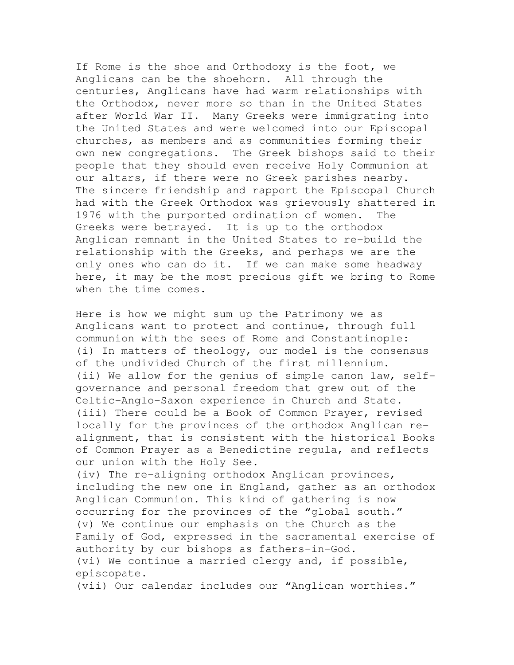If Rome is the shoe and Orthodoxy is the foot, we Anglicans can be the shoehorn. All through the centuries, Anglicans have had warm relationships with the Orthodox, never more so than in the United States after World War II. Many Greeks were immigrating into the United States and were welcomed into our Episcopal churches, as members and as communities forming their own new congregations. The Greek bishops said to their people that they should even receive Holy Communion at our altars, if there were no Greek parishes nearby. The sincere friendship and rapport the Episcopal Church had with the Greek Orthodox was grievously shattered in 1976 with the purported ordination of women. The Greeks were betrayed. It is up to the orthodox Anglican remnant in the United States to re-build the relationship with the Greeks, and perhaps we are the only ones who can do it. If we can make some headway here, it may be the most precious gift we bring to Rome when the time comes.

Here is how we might sum up the Patrimony we as Anglicans want to protect and continue, through full communion with the sees of Rome and Constantinople: (i) In matters of theology, our model is the consensus of the undivided Church of the first millennium. (ii) We allow for the genius of simple canon law, selfgovernance and personal freedom that grew out of the Celtic-Anglo-Saxon experience in Church and State. (iii) There could be a Book of Common Prayer, revised locally for the provinces of the orthodox Anglican realignment, that is consistent with the historical Books of Common Prayer as a Benedictine regula, and reflects our union with the Holy See.

(iv) The re-aligning orthodox Anglican provinces, including the new one in England, gather as an orthodox Anglican Communion. This kind of gathering is now occurring for the provinces of the "global south." (v) We continue our emphasis on the Church as the Family of God, expressed in the sacramental exercise of authority by our bishops as fathers-in-God. (vi) We continue a married clergy and, if possible, episcopate.

(vii) Our calendar includes our "Anglican worthies."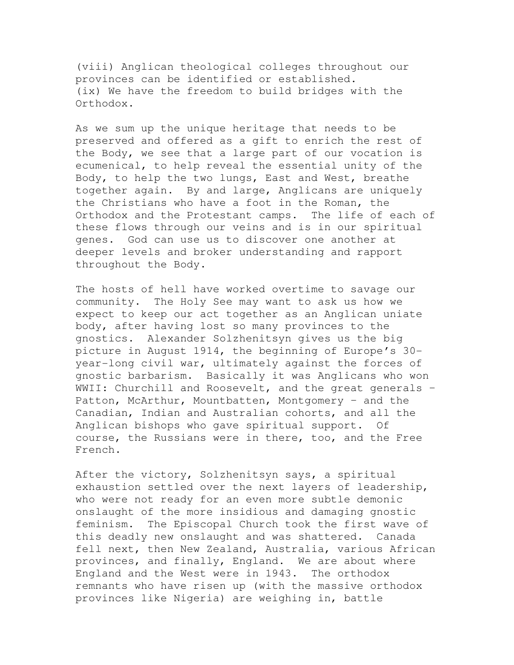(viii) Anglican theological colleges throughout our provinces can be identified or established. (ix) We have the freedom to build bridges with the Orthodox.

As we sum up the unique heritage that needs to be preserved and offered as a gift to enrich the rest of the Body, we see that a large part of our vocation is ecumenical, to help reveal the essential unity of the Body, to help the two lungs, East and West, breathe together again. By and large, Anglicans are uniquely the Christians who have a foot in the Roman, the Orthodox and the Protestant camps. The life of each of these flows through our veins and is in our spiritual genes. God can use us to discover one another at deeper levels and broker understanding and rapport throughout the Body.

The hosts of hell have worked overtime to savage our community. The Holy See may want to ask us how we expect to keep our act together as an Anglican uniate body, after having lost so many provinces to the gnostics. Alexander Solzhenitsyn gives us the big picture in August 1914, the beginning of Europe's 30 year-long civil war, ultimately against the forces of gnostic barbarism. Basically it was Anglicans who won WWII: Churchill and Roosevelt, and the great generals -Patton, McArthur, Mountbatten, Montgomery – and the Canadian, Indian and Australian cohorts, and all the Anglican bishops who gave spiritual support. Of course, the Russians were in there, too, and the Free French.

After the victory, Solzhenitsyn says, a spiritual exhaustion settled over the next layers of leadership, who were not ready for an even more subtle demonic onslaught of the more insidious and damaging gnostic feminism. The Episcopal Church took the first wave of this deadly new onslaught and was shattered. Canada fell next, then New Zealand, Australia, various African provinces, and finally, England. We are about where England and the West were in 1943. The orthodox remnants who have risen up (with the massive orthodox provinces like Nigeria) are weighing in, battle